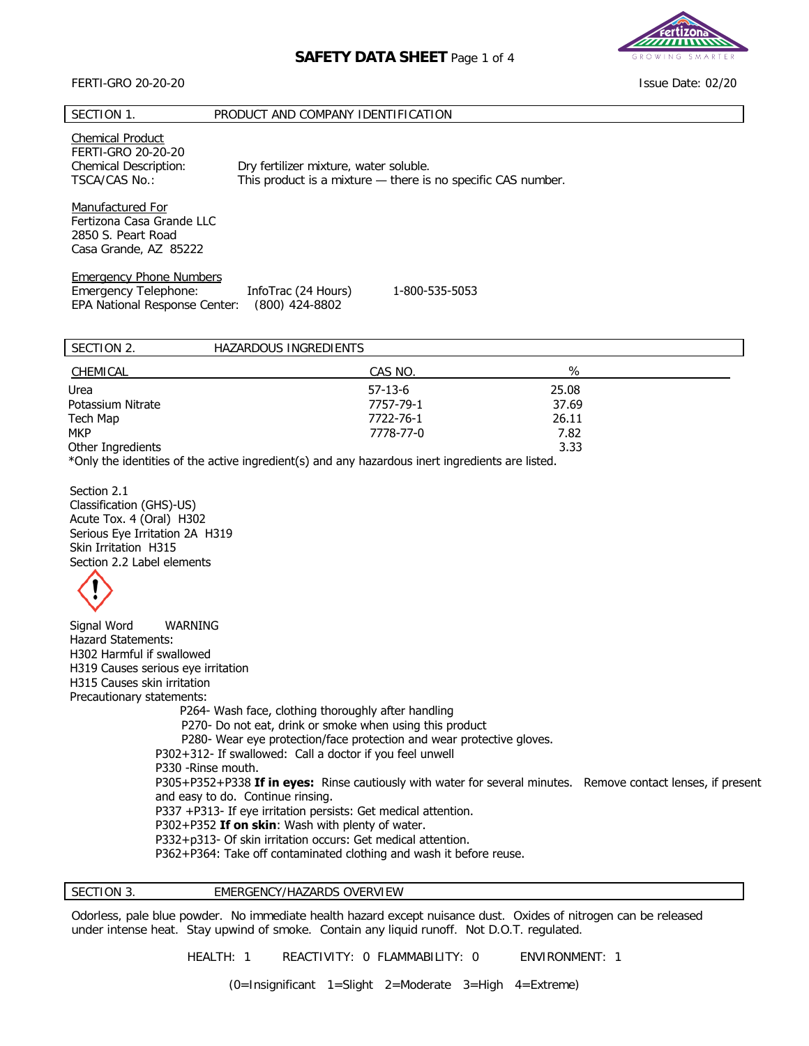# **SAFETY DATA SHEET** Page 1 of 4

### FERTI-GRO 20-20-20

### SECTION 1. PRODUCT AND COMPANY IDENTIFICATION

Chemical Product FERTI-GRO 20-20-20 Chemical Description: Dry fertilizer mixture, water soluble. TSCA/CAS No.: This product is a mixture — there is no specific CAS number.

Manufactured For Fertizona Casa Grande LLC 2850 S. Peart Road Casa Grande, AZ 85222

Emergency Phone Numbers

Emergency Telephone: InfoTrac (24 Hours) 1-800-535-5053 EPA National Response Center: (800) 424-8802 InfoTrac (24 Hours)

| SECTION 2.        | HAZARDOUS INGREDIENTS |           |       |  |
|-------------------|-----------------------|-----------|-------|--|
| CHEMICAL          |                       | CAS NO.   | %     |  |
| Urea              |                       | $57-13-6$ | 25.08 |  |
| Potassium Nitrate |                       | 7757-79-1 | 37.69 |  |
| Tech Map          |                       | 7722-76-1 | 26.11 |  |
| <b>MKP</b>        |                       | 7778-77-0 | 7.82  |  |
| Other Ingredients |                       |           | 3.33  |  |
| .                 | .                     |           |       |  |

\*Only the identities of the active ingredient(s) and any hazardous inert ingredients are listed.

Section 2.1 Classification (GHS)-US) Acute Tox. 4 (Oral) H302 Serious Eye Irritation 2A H319 Skin Irritation H315 Section 2.2 Label elements



Signal Word WARNING Hazard Statements: H302 Harmful if swallowed H319 Causes serious eye irritation H315 Causes skin irritation Precautionary statements: P264- Wash face, clothing thoroughly after handling P270- Do not eat, drink or smoke when using this product P280- Wear eye protection/face protection and wear protective gloves. P302+312- If swallowed: Call a doctor if you feel unwell P330 -Rinse mouth. P305+P352+P338 **If in eyes:** Rinse cautiously with water for several minutes. Remove contact lenses, if present and easy to do. Continue rinsing. P337 +P313- If eye irritation persists: Get medical attention. P302+P352 **If on skin**: Wash with plenty of water. P332+p313- Of skin irritation occurs: Get medical attention. P362+P364: Take off contaminated clothing and wash it before reuse.

SECTION 3. **EMERGENCY/HAZARDS OVERVIEW** 

Odorless, pale blue powder. No immediate health hazard except nuisance dust. Oxides of nitrogen can be released under intense heat. Stay upwind of smoke. Contain any liquid runoff. Not D.O.T. regulated.

HEALTH: 1 REACTIVITY: 0 FLAMMABILITY: 0 ENVIRONMENT: 1

(0=Insignificant 1=Slight 2=Moderate 3=High 4=Extreme)



Issue Date: 02/20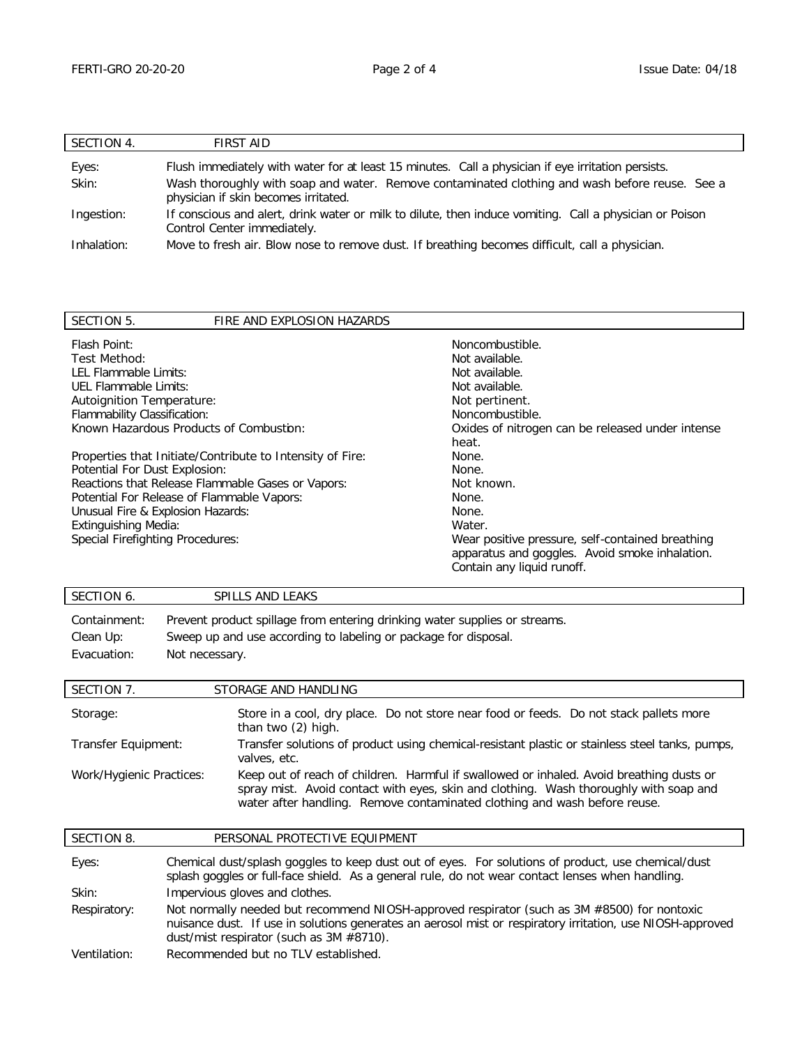| SECTION 4.  | <b>FIRST AID</b>                                                                                                                       |
|-------------|----------------------------------------------------------------------------------------------------------------------------------------|
| Eyes:       | Flush immediately with water for at least 15 minutes. Call a physician if eye irritation persists.                                     |
| Skin:       | Wash thoroughly with soap and water. Remove contaminated clothing and wash before reuse. See a<br>physician if skin becomes irritated. |
| Ingestion:  | If conscious and alert, drink water or milk to dilute, then induce vomiting. Call a physician or Poison<br>Control Center immediately. |
| Inhalation: | Move to fresh air. Blow nose to remove dust. If breathing becomes difficult, call a physician.                                         |

| SECTION 5.<br>FIRE AND EXPLOSION HAZARDS                  |                                                  |  |  |
|-----------------------------------------------------------|--------------------------------------------------|--|--|
| Flash Point:                                              | Noncombustible.                                  |  |  |
| Test Method:                                              | Not available.                                   |  |  |
| LEL Flammable Limits:                                     | Not available.                                   |  |  |
| UEL Flammable Limits:                                     | Not available.                                   |  |  |
| Autoignition Temperature:                                 | Not pertinent.                                   |  |  |
| Flammability Classification:                              | Noncombustible.                                  |  |  |
| Known Hazardous Products of Combustion:                   | Oxides of nitrogen can be released under intense |  |  |
|                                                           | heat.                                            |  |  |
| Properties that Initiate/Contribute to Intensity of Fire: | None.                                            |  |  |
| Potential For Dust Explosion:                             | None.                                            |  |  |
| Reactions that Release Flammable Gases or Vapors:         | Not known.                                       |  |  |
| Potential For Release of Flammable Vapors:                | None.                                            |  |  |
| Unusual Fire & Explosion Hazards:                         | None.                                            |  |  |
| Extinguishing Media:                                      | Water.                                           |  |  |
| Special Firefighting Procedures:                          | Wear positive pressure, self-contained breathing |  |  |
|                                                           | apparatus and goggles. Avoid smoke inhalation.   |  |  |
|                                                           | Contain any liquid runoff.                       |  |  |

# SECTION 6. SPILLS AND LEAKS

Containment: Prevent product spillage from entering drinking water supplies or streams. Clean Up: Sweep up and use according to labeling or package for disposal. Evacuation: Not necessary.

| SECTION 7.               | STORAGE AND HANDLING                                                                                                                                                                                                                                           |
|--------------------------|----------------------------------------------------------------------------------------------------------------------------------------------------------------------------------------------------------------------------------------------------------------|
| Storage:                 | Store in a cool, dry place. Do not store near food or feeds. Do not stack pallets more<br>than two (2) high.                                                                                                                                                   |
| Transfer Equipment:      | Transfer solutions of product using chemical-resistant plastic or stainless steel tanks, pumps,<br>valves, etc.                                                                                                                                                |
| Work/Hygienic Practices: | Keep out of reach of children. Harmful if swallowed or inhaled. Avoid breathing dusts or<br>spray mist. Avoid contact with eyes, skin and clothing. Wash thoroughly with soap and<br>water after handling. Remove contaminated clothing and wash before reuse. |

| SECTION 8.   | PERSONAL PROTECTIVE EQUIPMENT                                                                                                                                                                                                                         |
|--------------|-------------------------------------------------------------------------------------------------------------------------------------------------------------------------------------------------------------------------------------------------------|
| Eyes:        | Chemical dust/splash goggles to keep dust out of eyes. For solutions of product, use chemical/dust<br>splash goggles or full-face shield. As a general rule, do not wear contact lenses when handling.                                                |
| Skin:        | Impervious gloves and clothes.                                                                                                                                                                                                                        |
| Respiratory: | Not normally needed but recommend NIOSH-approved respirator (such as 3M #8500) for nontoxic<br>nuisance dust. If use in solutions generates an aerosol mist or respiratory irritation, use NIOSH-approved<br>dust/mist respirator (such as 3M #8710). |
| Ventilation: | Recommended but no TLV established.                                                                                                                                                                                                                   |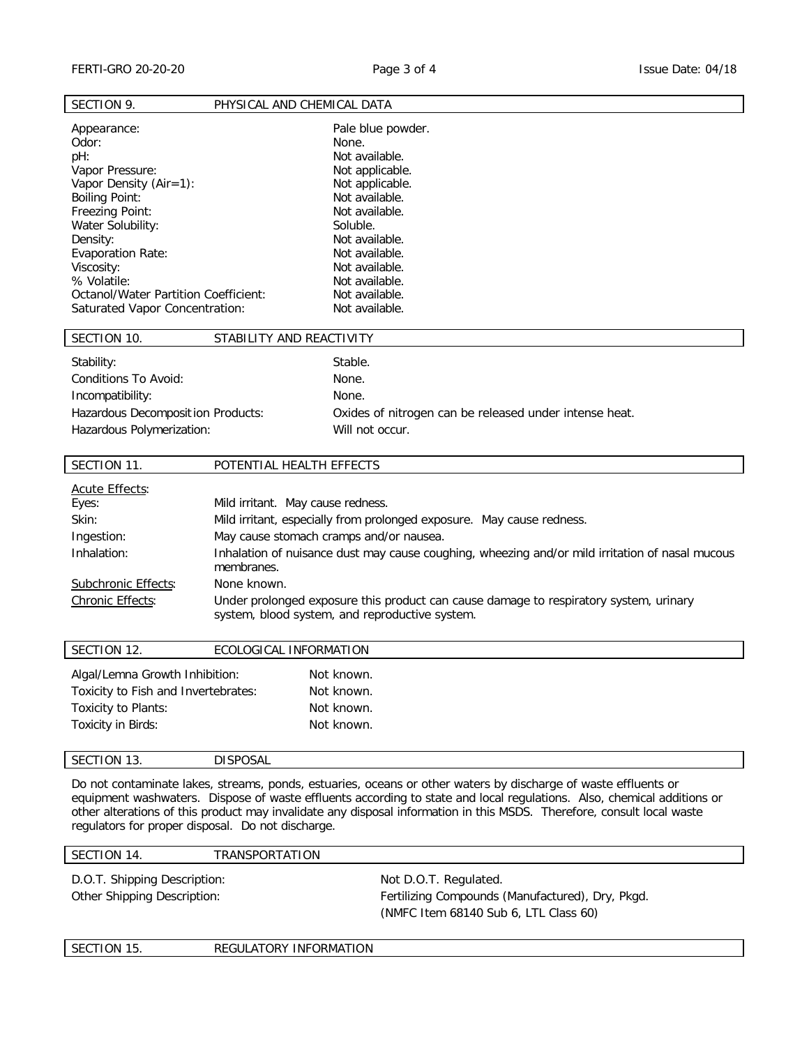SECTION 9. PHYSICAL AND CHEMICAL DATA

| Appearance:<br>Odor:<br>pH:<br>Vapor Pressure:<br>Vapor Density (Air=1):<br><b>Boiling Point:</b><br>Freezing Point:<br>Water Solubility:<br>Density:<br>Evaporation Rate:<br>Viscosity:<br>% Volatile:<br>Octanol/Water Partition Coefficient:<br>Saturated Vapor Concentration: |                                                                | Pale blue powder.<br>None.<br>Not available.<br>Not applicable.<br>Not applicable.<br>Not available.<br>Not available.<br>Soluble.<br>Not available.<br>Not available.<br>Not available.<br>Not available.<br>Not available.<br>Not available.                                                                                                                 |
|-----------------------------------------------------------------------------------------------------------------------------------------------------------------------------------------------------------------------------------------------------------------------------------|----------------------------------------------------------------|----------------------------------------------------------------------------------------------------------------------------------------------------------------------------------------------------------------------------------------------------------------------------------------------------------------------------------------------------------------|
| SECTION 10.                                                                                                                                                                                                                                                                       | STABILITY AND REACTIVITY                                       |                                                                                                                                                                                                                                                                                                                                                                |
| Stability:<br>Conditions To Avoid:<br>Incompatibility:<br>Hazardous Decomposition Products:<br>Hazardous Polymerization:                                                                                                                                                          |                                                                | Stable.<br>None.<br>None.<br>Oxides of nitrogen can be released under intense heat.<br>Will not occur.                                                                                                                                                                                                                                                         |
| SECTION 11.                                                                                                                                                                                                                                                                       | POTENTIAL HEALTH EFFECTS                                       |                                                                                                                                                                                                                                                                                                                                                                |
| Acute Effects:<br>Eyes:<br>Skin:<br>Ingestion:<br>Inhalation:<br>Subchronic Effects:<br>Chronic Effects:                                                                                                                                                                          | Mild irritant. May cause redness.<br>membranes.<br>None known. | Mild irritant, especially from prolonged exposure. May cause redness.<br>May cause stomach cramps and/or nausea.<br>Inhalation of nuisance dust may cause coughing, wheezing and/or mild irritation of nasal mucous<br>Under prolonged exposure this product can cause damage to respiratory system, urinary<br>system, blood system, and reproductive system. |
| SECTION 12.                                                                                                                                                                                                                                                                       | ECOLOGICAL INFORMATION                                         |                                                                                                                                                                                                                                                                                                                                                                |

| Algal/Lemna Growth Inhibition:      | Not known. |
|-------------------------------------|------------|
| Toxicity to Fish and Invertebrates: | Not known. |
| Toxicity to Plants:                 | Not known. |
| Toxicity in Birds:                  | Not known. |
|                                     |            |

## SECTION 13. DISPOSAL

Do not contaminate lakes, streams, ponds, estuaries, oceans or other waters by discharge of waste effluents or equipment washwaters. Dispose of waste effluents according to state and local regulations. Also, chemical additions or other alterations of this product may invalidate any disposal information in this MSDS. Therefore, consult local waste regulators for proper disposal. Do not discharge.

### SECTION 14. TRANSPORTATION

D.O.T. Shipping Description: Not D.O.T. Regulated.

Other Shipping Description: The Shipping Compounds (Manufactured), Dry, Pkgd. (NMFC Item 68140 Sub 6, LTL Class 60)

SECTION 15. REGULATORY INFORMATION